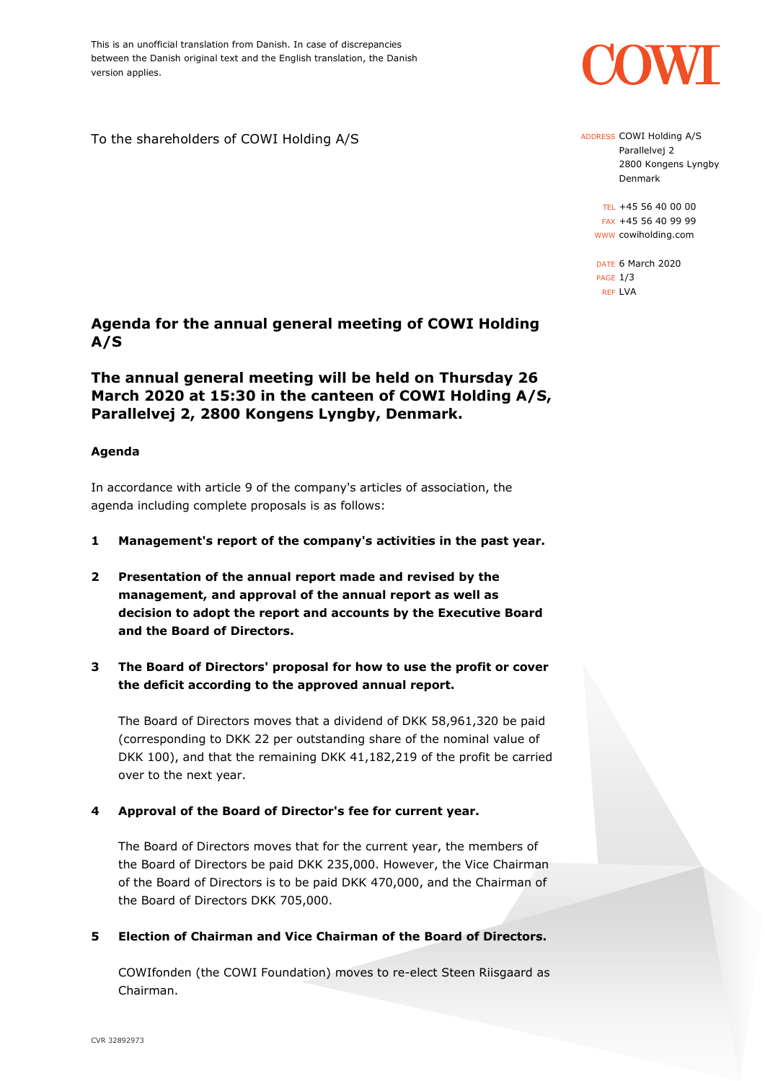This is an unofficial translation from Danish. In case of discrepancies between the Danish original text and the English translation, the Danish version applies.

To the shareholders of COWI Holding A/S

# **Agenda for the annual general meeting of COWI Holding A/S**

# **The annual general meeting will be held on Thursday 26 March 2020 at 15:30 in the canteen of COWI Holding A/S, Parallelvej 2, 2800 Kongens Lyngby, Denmark.**

## **Agenda**

In accordance with article 9 of the company's articles of association, the agenda including complete proposals is as follows:

- **1 Management's report of the company's activities in the past year.**
- **2 Presentation of the annual report made and revised by the management, and approval of the annual report as well as decision to adopt the report and accounts by the Executive Board and the Board of Directors.**
- **3 The Board of Directors' proposal for how to use the profit or cover the deficit according to the approved annual report.**

The Board of Directors moves that a dividend of DKK 58,961,320 be paid (corresponding to DKK 22 per outstanding share of the nominal value of DKK 100), and that the remaining DKK 41,182,219 of the profit be carried over to the next year.

## **4 Approval of the Board of Director's fee for current year.**

The Board of Directors moves that for the current year, the members of the Board of Directors be paid DKK 235,000. However, the Vice Chairman of the Board of Directors is to be paid DKK 470,000, and the Chairman of the Board of Directors DKK 705,000.

**5 Election of Chairman and Vice Chairman of the Board of Directors.**

COWIfonden (the COWI Foundation) moves to re-elect Steen Riisgaard as Chairman.



ADDRESS COWI Holding A/S Parallelvej 2 2800 Kongens Lyngby Denmark

TEL +45 56 40 00 00 FAX +45 56 40 99 99 WWW cowiholding.com

DATE 6 March 2020 PAGE 1/3 REF LVA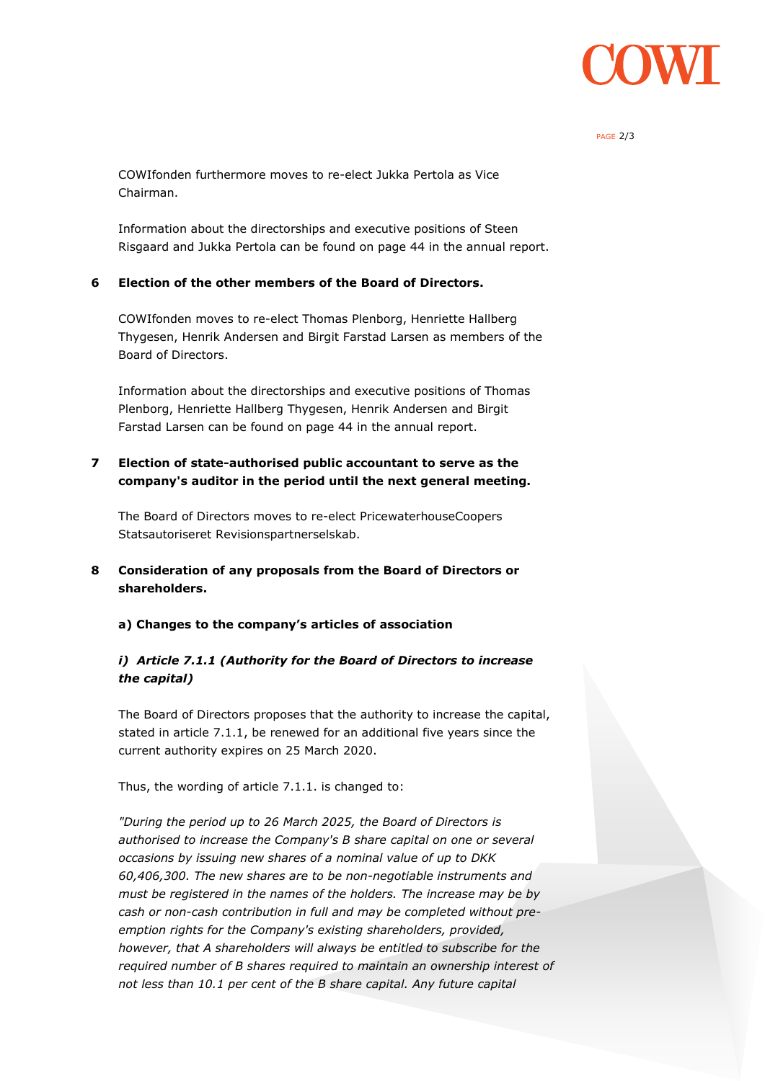

#### PAGE 2/3

COWIfonden furthermore moves to re-elect Jukka Pertola as Vice Chairman.

Information about the directorships and executive positions of Steen Risgaard and Jukka Pertola can be found on page 44 in the annual report.

#### **6 Election of the other members of the Board of Directors.**

COWIfonden moves to re-elect Thomas Plenborg, Henriette Hallberg Thygesen, Henrik Andersen and Birgit Farstad Larsen as members of the Board of Directors.

Information about the directorships and executive positions of Thomas Plenborg, Henriette Hallberg Thygesen, Henrik Andersen and Birgit Farstad Larsen can be found on page 44 in the annual report.

## **7 Election of state-authorised public accountant to serve as the company's auditor in the period until the next general meeting.**

The Board of Directors moves to re-elect PricewaterhouseCoopers Statsautoriseret Revisionspartnerselskab.

- **8 Consideration of any proposals from the Board of Directors or shareholders.**
	- **a) Changes to the company's articles of association**

## *i) Article 7.1.1 (Authority for the Board of Directors to increase the capital)*

The Board of Directors proposes that the authority to increase the capital, stated in article 7.1.1, be renewed for an additional five years since the current authority expires on 25 March 2020.

Thus, the wording of article 7.1.1. is changed to:

*"During the period up to 26 March 2025, the Board of Directors is authorised to increase the Company's B share capital on one or several occasions by issuing new shares of a nominal value of up to DKK 60,406,300. The new shares are to be non-negotiable instruments and must be registered in the names of the holders. The increase may be by cash or non-cash contribution in full and may be completed without preemption rights for the Company's existing shareholders, provided, however, that A shareholders will always be entitled to subscribe for the required number of B shares required to maintain an ownership interest of not less than 10.1 per cent of the B share capital. Any future capital*